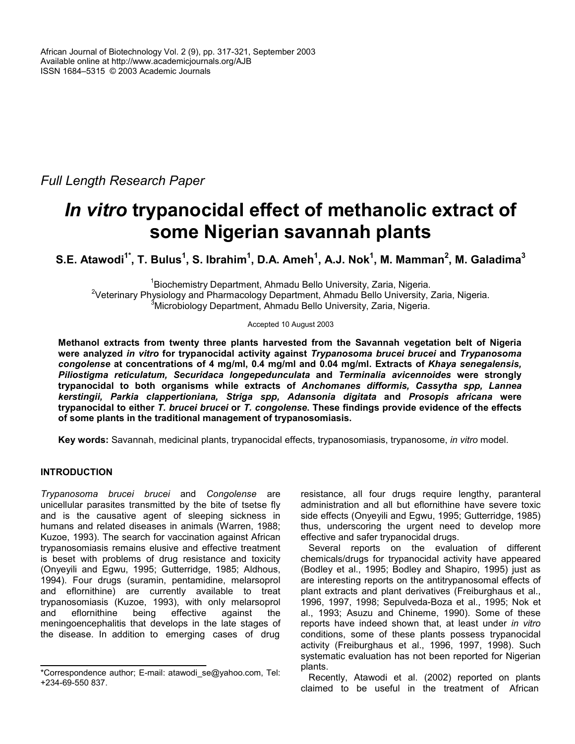*Full Length Research Paper*

# *In vitro* **trypanocidal effect of methanolic extract of some Nigerian savannah plants**

 $S.E.$  Atawodi $^1$ <sup>\*</sup>, T. Bulus $^1$ , S. Ibrahim $^1$ , D.A. Ameh $^1$ , A.J. Nok $^1$ , M. Mamman $^2$ , M. Galadima $^3$ 

<sup>1</sup> Biochemistry Department, Ahmadu Bello University, Zaria, Nigeria.<br><sup>2</sup> Veterinary Physiology and Pharmacology Department, Ahmadu Bello University. <sup>2</sup>Veterinary Physiology and Pharmacology Department, Ahmadu Bello University, Zaria, Nigeria.  $3$ Microbiology Department, Ahmadu Bello University, Zaria, Nigeria.

Accepted 10 August 2003

**Methanol extracts from twenty three plants harvested from the Savannah vegetation belt of Nigeria were analyzed** *in vitro* **for trypanocidal activity against** *Trypanosoma brucei brucei* **and** *Trypanosoma congolense* **at concentrations of 4 mg/ml, 0.4 mg/ml and 0.04 mg/ml. Extracts of** *Khaya senegalensis, Piliostigma reticulatum, Securidaca longepedunculata* **and** *Terminalia avicennoides* **were strongly trypanocidal to both organisms while extracts of** *Anchomanes difformis, Cassytha spp, Lannea kerstingii, Parkia clappertioniana, Striga spp, Adansonia digitata* **and** *Prosopis africana* **were trypanocidal to either** *T. brucei brucei* **or** *T. congolense***. These findings provide evidence of the effects of some plants in the traditional management of trypanosomiasis.** 

**Key words:** Savannah, medicinal plants, trypanocidal effects, trypanosomiasis, trypanosome, *in vitro* model.

# **INTRODUCTION**

*Trypanosoma brucei brucei* and *Congolense* are unicellular parasites transmitted by the bite of tsetse fly and is the causative agent of sleeping sickness in humans and related diseases in animals (Warren, 1988; Kuzoe, 1993). The search for vaccination against African trypanosomiasis remains elusive and effective treatment is beset with problems of drug resistance and toxicity (Onyeyili and Egwu, 1995; Gutterridge, 1985; Aldhous, 1994). Four drugs (suramin, pentamidine, melarsoprol and eflornithine) are currently available to treat trypanosomiasis (Kuzoe, 1993), with only melarsoprol and eflornithine being effective against the meningoencephalitis that develops in the late stages of the disease. In addition to emerging cases of drug

resistance, all four drugs require lengthy, paranteral administration and all but eflornithine have severe toxic side effects (Onyeyili and Egwu, 1995; Gutterridge, 1985) thus, underscoring the urgent need to develop more effective and safer trypanocidal drugs.

Several reports on the evaluation of different chemicals/drugs for trypanocidal activity have appeared (Bodley et al., 1995; Bodley and Shapiro, 1995) just as are interesting reports on the antitrypanosomal effects of plant extracts and plant derivatives (Freiburghaus et al., 1996, 1997, 1998; Sepulveda-Boza et al., 1995; Nok et al., 1993; Asuzu and Chineme, 1990). Some of these reports have indeed shown that, at least under *in vitro* conditions, some of these plants possess trypanocidal activity (Freiburghaus et al., 1996, 1997, 1998). Such systematic evaluation has not been reported for Nigerian plants.

Recently, Atawodi et al. (2002) reported on plants claimed to be useful in the treatment of African

<sup>\*</sup>Correspondence author; E-mail: atawodi\_se@yahoo.com, Tel: +234-69-550 837.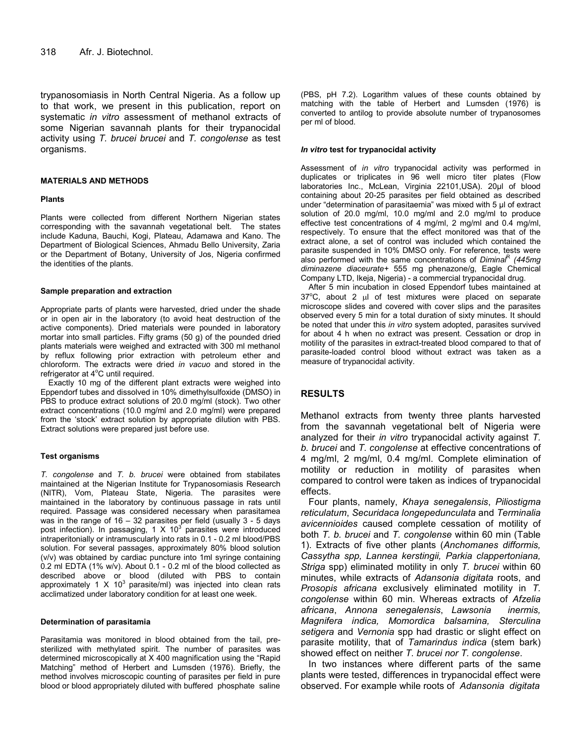trypanosomiasis in North Central Nigeria. As a follow up to that work, we present in this publication, report on systematic *in vitro* assessment of methanol extracts of some Nigerian savannah plants for their trypanocidal activity using *T. brucei brucei* and *T. congolense* as test organisms.

#### **MATERIALS AND METHODS**

#### **Plants**

Plants were collected from different Northern Nigerian states corresponding with the savannah vegetational belt. The states include Kaduna, Bauchi, Kogi, Plateau, Adamawa and Kano. The Department of Biological Sciences, Ahmadu Bello University, Zaria or the Department of Botany, University of Jos, Nigeria confirmed the identities of the plants.

#### **Sample preparation and extraction**

Appropriate parts of plants were harvested, dried under the shade or in open air in the laboratory (to avoid heat destruction of the active components). Dried materials were pounded in laboratory mortar into small particles. Fifty grams (50 g) of the pounded dried plants materials were weighed and extracted with 300 ml methanol by reflux following prior extraction with petroleum ether and chloroform. The extracts were dried *in vacuo* and stored in the refrigerator at 4°C until required.

Exactly 10 mg of the different plant extracts were weighed into Eppendorf tubes and dissolved in 10% dimethylsulfoxide (DMSO) in PBS to produce extract solutions of 20.0 mg/ml (stock). Two other extract concentrations (10.0 mg/ml and 2.0 mg/ml) were prepared from the 'stock' extract solution by appropriate dilution with PBS. Extract solutions were prepared just before use.

#### **Test organisms**

*T. congolense* and *T. b. brucei* were obtained from stabilates maintained at the Nigerian Institute for Trypanosomiasis Research (NITR), Vom, Plateau State, Nigeria. The parasites were maintained in the laboratory by continuous passage in rats until required. Passage was considered necessary when parasitamea was in the range of 16 – 32 parasites per field (usually 3 - 5 days post infection). In passaging, 1 X 10 $3$  parasites were introduced intraperitonially or intramuscularly into rats in 0.1 - 0.2 ml blood/PBS solution. For several passages, approximately 80% blood solution (v/v) was obtained by cardiac puncture into 1ml syringe containing 0.2 ml EDTA (1% w/v). About 0.1 - 0.2 ml of the blood collected as described above or blood (diluted with PBS to contain approximately 1 X 10<sup>3</sup> parasite/ml) was injected into clean rats acclimatized under laboratory condition for at least one week.

#### **Determination of parasitamia**

Parasitamia was monitored in blood obtained from the tail, presterilized with methylated spirit. The number of parasites was determined microscopically at X 400 magnification using the "Rapid Matching" method of Herbert and Lumsden (1976). Briefly, the method involves microscopic counting of parasites per field in pure blood or blood appropriately diluted with buffered phosphate saline

(PBS, pH 7.2). Logarithm values of these counts obtained by matching with the table of Herbert and Lumsden (1976) is converted to antilog to provide absolute number of trypanosomes per ml of blood.

#### *In vitro* **test for trypanocidal activity**

Assessment of *in vitro* trypanocidal activity was performed in duplicates or triplicates in 96 well micro titer plates (Flow laboratories Inc., McLean, Virginia 22101,USA). 20µl of blood containing about 20-25 parasites per field obtained as described under "determination of parasitaemia" was mixed with 5 µl of extract solution of 20.0 mg/ml, 10.0 mg/ml and 2.0 mg/ml to produce effective test concentrations of 4 mg/ml, 2 mg/ml and 0.4 mg/ml, respectively. To ensure that the effect monitored was that of the extract alone, a set of control was included which contained the parasite suspended in 10% DMSO only. For reference, tests were also performed with the same concentrations of *Diminal<sup>R</sup> (445mg diminazene diaceurate+* 555 mg phenazone/g, Eagle Chemical Company LTD, Ikeja, Nigeria) - a commercial trypanocidal drug.

After 5 min incubation in closed Eppendorf tubes maintained at  $37^{\circ}$ C, about 2  $\mu$ l of test mixtures were placed on separate microscope slides and covered with cover slips and the parasites observed every 5 min for a total duration of sixty minutes. It should be noted that under this *in vitro* system adopted, parasites survived for about 4 h when no extract was present. Cessation or drop in motility of the parasites in extract-treated blood compared to that of parasite-loaded control blood without extract was taken as a measure of trypanocidal activity.

## **RESULTS**

Methanol extracts from twenty three plants harvested from the savannah vegetational belt of Nigeria were analyzed for their *in vitro* trypanocidal activity against *T. b. brucei* and *T. congolense* at effective concentrations of 4 mg/ml, 2 mg/ml, 0.4 mg/ml. Complete elimination of motility or reduction in motility of parasites when compared to control were taken as indices of trypanocidal effects.

Four plants, namely, *Khaya senegalensis*, *Piliostigma reticulatum*, *Securidaca longepedunculata* and *Terminalia avicennioides* caused complete cessation of motility of both *T. b. brucei* and *T. congolense* within 60 min (Table 1). Extracts of five other plants (*Anchomanes difformis, Cassytha spp, Lannea kerstingii, Parkia clappertoniana, Striga* spp) eliminated motility in only *T. brucei* within 60 minutes, while extracts of *Adansonia digitata* roots, and *Prosopis africana* exclusively eliminated motility in *T. congolense* within 60 min. Whereas extracts of *Afzelia africana*, *Annona senegalensis*, *Lawsonia inermis, Magnifera indica, Momordica balsamina, Sterculina setigera* and *Vernonia* spp had drastic or slight effect on parasite motility, that of *Tamarindus indica* (stem bark) showed effect on neither *T. brucei nor T. congolense*.

In two instances where different parts of the same plants were tested, differences in trypanocidal effect were observed. For example while roots of *Adansonia digitata*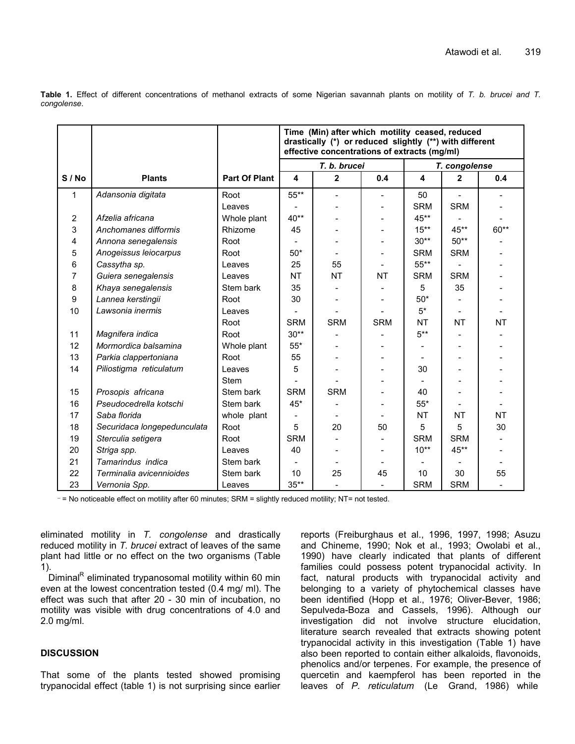**Table 1.** Effect of different concentrations of methanol extracts of some Nigerian savannah plants on motility of *T. b. brucei and T. congolense*.

|      |                             |                      | Time (Min) after which motility ceased, reduced<br>drastically (*) or reduced slightly (**) with different<br>effective concentrations of extracts (mg/ml) |                         |            |                         |                          |           |
|------|-----------------------------|----------------------|------------------------------------------------------------------------------------------------------------------------------------------------------------|-------------------------|------------|-------------------------|--------------------------|-----------|
|      |                             |                      | T. b. brucei                                                                                                                                               |                         |            | T. congolense           |                          |           |
| S/No | <b>Plants</b>               | <b>Part Of Plant</b> | 4                                                                                                                                                          | $\overline{\mathbf{2}}$ | 0.4        | $\overline{\mathbf{4}}$ | $\overline{2}$           | 0.4       |
| 1    | Adansonia digitata          | Root                 | $55***$                                                                                                                                                    |                         |            | 50                      |                          |           |
|      |                             | Leaves               |                                                                                                                                                            |                         |            | <b>SRM</b>              | <b>SRM</b>               |           |
| 2    | Afzelia africana            | Whole plant          | 40**                                                                                                                                                       |                         |            | 45**                    |                          |           |
| 3    | Anchomanes difformis        | Rhizome              | 45                                                                                                                                                         |                         |            | $15***$                 | 45**                     | 60**      |
| 4    | Annona senegalensis         | Root                 |                                                                                                                                                            |                         |            | $30**$                  | $50**$                   |           |
| 5    | Anogeissus leiocarpus       | Root                 | $50*$                                                                                                                                                      |                         |            | <b>SRM</b>              | <b>SRM</b>               |           |
| 6    | Cassytha sp.                | Leaves               | 25                                                                                                                                                         | 55                      |            | 55**                    |                          |           |
| 7    | Guiera senegalensis         | Leaves               | <b>NT</b>                                                                                                                                                  | <b>NT</b>               | <b>NT</b>  | <b>SRM</b>              | <b>SRM</b>               |           |
| 8    | Khaya senegalensis          | Stem bark            | 35                                                                                                                                                         |                         |            | 5                       | 35                       |           |
| 9    | Lannea kerstingii           | Root                 | 30                                                                                                                                                         |                         |            | $50*$                   |                          |           |
| 10   | Lawsonia inermis            | Leaves               |                                                                                                                                                            |                         |            | $5*$                    | $\overline{\phantom{a}}$ |           |
|      |                             | Root                 | <b>SRM</b>                                                                                                                                                 | <b>SRM</b>              | <b>SRM</b> | <b>NT</b>               | <b>NT</b>                | <b>NT</b> |
| 11   | Magnifera indica            | Root                 | $30**$                                                                                                                                                     |                         |            | $5^{\ast\ast}$          |                          |           |
| 12   | Mormordica balsamina        | Whole plant          | $55*$                                                                                                                                                      |                         |            |                         |                          |           |
| 13   | Parkia clappertoniana       | Root                 | 55                                                                                                                                                         |                         |            |                         |                          |           |
| 14   | Piliostigma reticulatum     | Leaves               | 5                                                                                                                                                          |                         |            | 30                      |                          |           |
|      |                             | Stem                 |                                                                                                                                                            |                         |            |                         |                          |           |
| 15   | Prosopis africana           | Stem bark            | <b>SRM</b>                                                                                                                                                 | <b>SRM</b>              |            | 40                      |                          |           |
| 16   | Pseudocedrella kotschi      | Stem bark            | 45*                                                                                                                                                        |                         |            | $55*$                   |                          |           |
| 17   | Saba florida                | whole plant          |                                                                                                                                                            |                         |            | <b>NT</b>               | <b>NT</b>                | <b>NT</b> |
| 18   | Securidaca longepedunculata | Root                 | 5                                                                                                                                                          | 20                      | 50         | 5                       | 5                        | 30        |
| 19   | Sterculia setigera          | Root                 | <b>SRM</b>                                                                                                                                                 |                         |            | <b>SRM</b>              | <b>SRM</b>               |           |
| 20   | Striga spp.                 | Leaves               | 40                                                                                                                                                         |                         |            | $10**$                  | 45**                     |           |
| 21   | Tamarindus indica           | Stem bark            |                                                                                                                                                            |                         |            |                         |                          |           |
| 22   | Terminalia avicennioides    | Stem bark            | 10                                                                                                                                                         | 25                      | 45         | 10                      | 30                       | 55        |
| 23   | Vernonia Spp.               | Leaves               | $35**$                                                                                                                                                     | $\overline{a}$          |            | <b>SRM</b>              | <b>SRM</b>               |           |

- = No noticeable effect on motility after 60 minutes; SRM = slightly reduced motility; NT= not tested.

eliminated motility in *T. congolense* and drastically reduced motility in *T. brucei* extract of leaves of the same plant had little or no effect on the two organisms (Table 1).

Diminal<sup>R</sup> eliminated trypanosomal motility within 60 min even at the lowest concentration tested (0.4 mg/ ml). The effect was such that after 20 - 30 min of incubation, no motility was visible with drug concentrations of 4.0 and 2.0 mg/ml.

## **DISCUSSION**

That some of the plants tested showed promising trypanocidal effect (table 1) is not surprising since earlier

reports (Freiburghaus et al., 1996, 1997, 1998; Asuzu and Chineme, 1990; Nok et al., 1993; Owolabi et al., 1990) have clearly indicated that plants of different families could possess potent trypanocidal activity. In fact, natural products with trypanocidal activity and belonging to a variety of phytochemical classes have been identified (Hopp et al., 1976; Oliver-Bever, 1986; Sepulveda-Boza and Cassels, 1996). Although our investigation did not involve structure elucidation, literature search revealed that extracts showing potent trypanocidal activity in this investigation (Table 1) have also been reported to contain either alkaloids, flavonoids, phenolics and/or terpenes. For example, the presence of quercetin and kaempferol has been reported in the leaves of *P. reticulatum* (Le Grand, 1986) while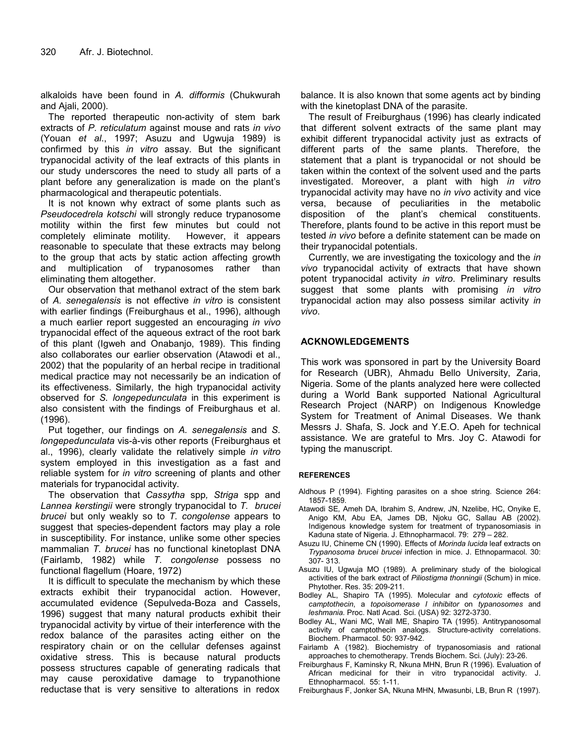alkaloids have been found in *A. difformis* (Chukwurah and Ajali, 2000).

The reported therapeutic non-activity of stem bark extracts of *P. reticulatum* against mouse and rats *in vivo* (Youan *et al*., 1997; Asuzu and Ugwuja 1989) is confirmed by this *in vitro* assay. But the significant trypanocidal activity of the leaf extracts of this plants in our study underscores the need to study all parts of a plant before any generalization is made on the plant's pharmacological and therapeutic potentials.

It is not known why extract of some plants such as *Pseudocedrela kotschi* will strongly reduce trypanosome motility within the first few minutes but could not completely eliminate motility. However, it appears reasonable to speculate that these extracts may belong to the group that acts by static action affecting growth and multiplication of trypanosomes rather than eliminating them altogether.

Our observation that methanol extract of the stem bark of *A. senegalensis* is not effective *in vitro* is consistent with earlier findings (Freiburghaus et al., 1996), although a much earlier report suggested an encouraging *in vivo* trypanocidal effect of the aqueous extract of the root bark of this plant (Igweh and Onabanjo, 1989). This finding also collaborates our earlier observation (Atawodi et al., 2002) that the popularity of an herbal recipe in traditional medical practice may not necessarily be an indication of its effectiveness. Similarly, the high trypanocidal activity observed for *S. longepedunculata* in this experiment is also consistent with the findings of Freiburghaus et al. (1996).

Put together, our findings on *A. senegalensis* and *S. longepedunculata* vis-à-vis other reports (Freiburghaus et al., 1996), clearly validate the relatively simple *in vitro* system employed in this investigation as a fast and reliable system for *in vitro* screening of plants and other materials for trypanocidal activity.

The observation that *Cassytha* spp*, Striga* spp and *Lannea kerstingii* were strongly trypanocidal to *T. brucei brucei* but only weakly so to *T. congolense* appears to suggest that species-dependent factors may play a role in susceptibility. For instance, unlike some other species mammalian *T. brucei* has no functional kinetoplast DNA (Fairlamb, 1982) while *T. congolense* possess no functional flagellum (Hoare, 1972)

It is difficult to speculate the mechanism by which these extracts exhibit their trypanocidal action. However, accumulated evidence (Sepulveda-Boza and Cassels, 1996) suggest that many natural products exhibit their trypanocidal activity by virtue of their interference with the redox balance of the parasites acting either on the respiratory chain or on the cellular defenses against oxidative stress. This is because natural products possess structures capable of generating radicals that may cause peroxidative damage to trypanothione reductase that is very sensitive to alterations in redox balance. It is also known that some agents act by binding with the kinetoplast DNA of the parasite.

The result of Freiburghaus (1996) has clearly indicated that different solvent extracts of the same plant may exhibit different trypanocidal activity just as extracts of different parts of the same plants. Therefore, the statement that a plant is trypanocidal or not should be taken within the context of the solvent used and the parts investigated. Moreover, a plant with high *in vitro* trypanocidal activity may have no *in vivo* activity and vice versa, because of peculiarities in the metabolic disposition of the plant's chemical constituents. Therefore, plants found to be active in this report must be tested *in vivo* before a definite statement can be made on their trypanocidal potentials.

Currently, we are investigating the toxicology and the *in vivo* trypanocidal activity of extracts that have shown potent trypanocidal activity *in vitro*. Preliminary results suggest that some plants with promising *in vitro* trypanocidal action may also possess similar activity *in vivo*.

## **ACKNOWLEDGEMENTS**

This work was sponsored in part by the University Board for Research (UBR), Ahmadu Bello University, Zaria, Nigeria. Some of the plants analyzed here were collected during a World Bank supported National Agricultural Research Project (NARP) on Indigenous Knowledge System for Treatment of Animal Diseases. We thank Messrs J. Shafa, S. Jock and Y.E.O. Apeh for technical assistance. We are grateful to Mrs. Joy C. Atawodi for typing the manuscript.

## **REFERENCES**

- Aldhous P (1994). Fighting parasites on a shoe string. Science 264: 1857-1859.
- Atawodi SE*,* Ameh DA, Ibrahim S, Andrew, JN, Nzelibe, HC, Onyike E, Anigo KM, Abu EA, James DB, Njoku GC, Sallau AB (2002). Indigenous knowledge system for treatment of trypanosomiasis in Kaduna state of Nigeria. J. Ethnopharmacol*.* 79: 279 – 282.
- Asuzu IU, Chineme CN (1990). Effects of *Morinda lucida* leaf extracts on *Trypanosoma brucei brucei* infection in mice. J. Ethnoparmacol. 30: 307- 313.
- Asuzu IU, Ugwuja MO (1989). A preliminary study of the biological activities of the bark extract of *Piliostigma thonningii* (Schum) in mice. Phytother. Res. 35: 209-211.
- Bodley AL, Shapiro TA (1995). Molecular and *cytotoxic* effects of *camptothecin*, a *topoisomerase I inhibitor* on *typanosomes* and *leshmania.* Proc. Natl Acad. Sci. (USA) 92: 3272-3730.
- Bodley AL, Wani MC, Wall ME, Shapiro TA (1995). Antitrypanosomal activity of camptothecin analogs. Structure-activity correlations. Biochem. Pharmacol. 50: 937-942.
- Fairlamb A (1982). Biochemistry of trypanosomiasis and rational approaches to chemotherapy. Trends Biochem. Sci. (July): 23-26.
- Freiburghaus F, Kaminsky R, Nkuna MHN, Brun R (1996). Evaluation of African medicinal for their in vitro trypanocidal activity. J. Ethnopharmacol. 55: 1-11.
- Freiburghaus F, Jonker SA, Nkuna MHN, Mwasunbi, LB, Brun R (1997).